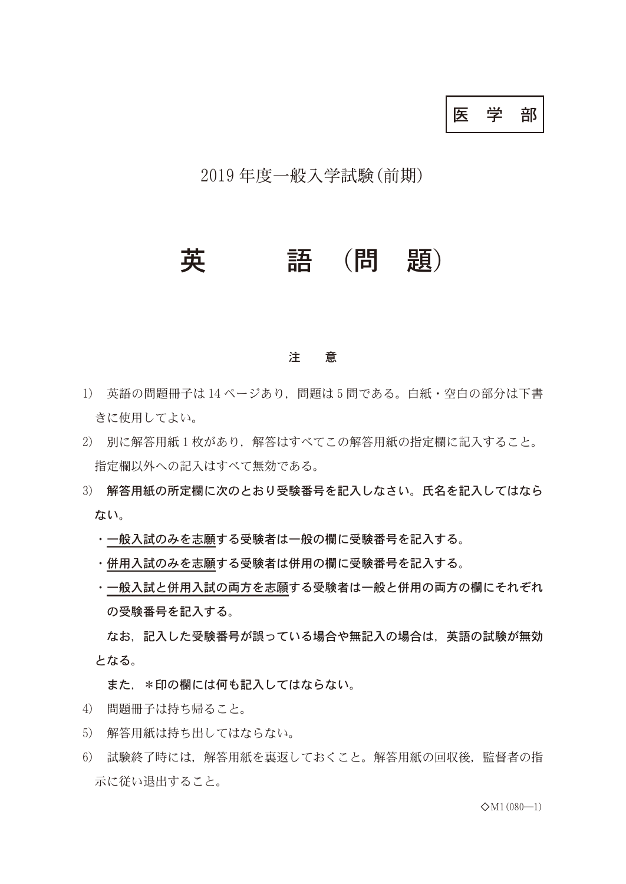医学部

2019年度一般入学試験(前期)

## 英 語 (問 題)

## 注 意

- 1) 英語の問題冊子は 14 ページあり,問題は 5 問である。白紙・空白の部分は下書 きに使用してよい。
- 2) 別に解答用紙1枚があり、解答はすべてこの解答用紙の指定欄に記入すること。 指定欄以外への記入はすべて無効である。
- 3) 解答用紙の所定欄に次のとおり受験番号を記入しなさい。氏名を記入してはなら ない。
	- ・一般入試のみを志願する受験者は一般の欄に受験番号を記入する。
	- ・併用入試のみを志願する受験者は併用の欄に受験番号を記入する。
	- ・一般入試と併用入試の両方を志願する受験者は一般と併用の両方の欄にそれぞれ の受験番号を記入する。

なお,記入した受験番号が誤っている場合や無記入の場合は,英語の試験が無効 となる。

また, \*印の欄には何も記入してはならない。

- 4) 問題冊子は持ち帰ること。
- 5) 解答用紙は持ち出してはならない。
- 6) 試験終了時には,解答用紙を裏返しておくこと。解答用紙の回収後,監督者の指 示に従い退出すること。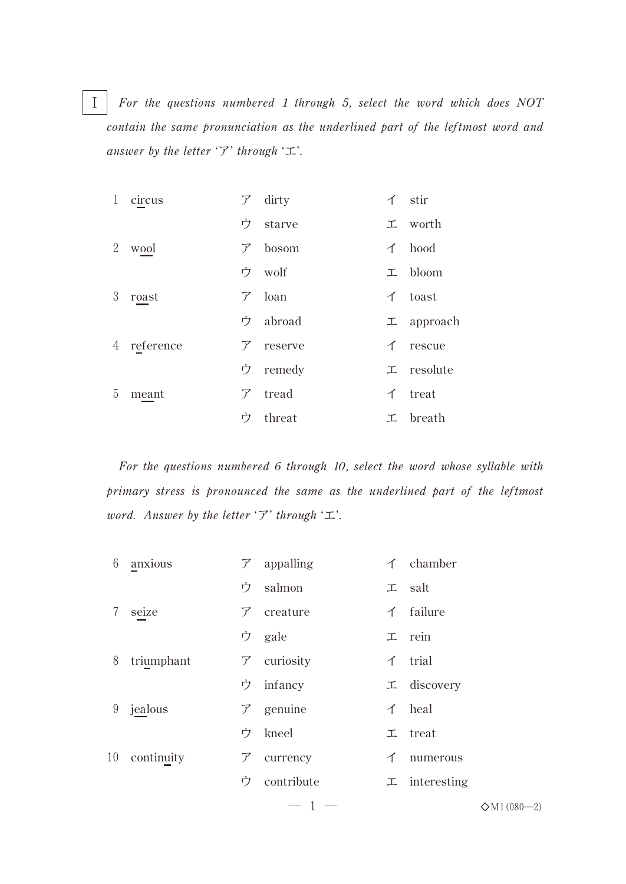Ⅰ *For the questions numbered 1 through 5, select the word which does NOT contain the same pronunciation as the underlined part of the leftmost word and answer by the letter* 'ア' *through* 'エ'.

| $\mathbf{1}$ | circus      |   | $\mathcal{F}$ dirty | イ stir                 |
|--------------|-------------|---|---------------------|------------------------|
|              |             |   | ウ starve            | 工 worth                |
| 2            | wool        |   | $7\;$ bosom         | $\uparrow$ hood        |
|              |             |   | ウ wolf              | $\perp$ bloom          |
| 3            | roast       |   | $\nabla$ loan       | $\uparrow$ toast       |
|              |             |   | ウ abroad            | $\mathcal{I}$ approach |
|              | 4 reference |   | $7$ reserve         | $\uparrow$ rescue      |
|              |             |   | ウ remedy            | 工 resolute             |
| 5            | meant       |   | $7$ tread           | $\uparrow$ treat       |
|              |             | ウ | threat              | エ breath               |

*For the questions numbered 6 through 10, select the word whose syllable with primary stress is pronounced the same as the underlined part of the leftmost word. Answer by the letter* 'ア' *through* 'エ'.

| 6  | anxious    |               | $\mathcal{F}$ appalling |   | $\uparrow$ chamber  |
|----|------------|---------------|-------------------------|---|---------------------|
|    |            | ウ             | salmon                  |   | $\perp$ salt        |
| 7  | seize      |               | $\mathcal{F}$ creature  |   | $\uparrow$ failure  |
|    |            |               | ウ gale                  |   | $\perp$ rein        |
| 8  | triumphant |               | $\mathcal{F}$ curiosity |   | $\uparrow$ trial    |
|    |            | ウー            | infancy                 |   | 工 discovery         |
| 9  | jealous    |               | $\mathcal{F}$ genuine   |   | $\uparrow$ heal     |
|    |            | ウ             | kneel                   |   | $\perp$ treat       |
| 10 | continuity | $\mathcal{F}$ | currency                | イ | numerous            |
|    |            | ウ             | contribute              |   | $\perp$ interesting |
|    |            |               |                         |   |                     |

— 1 —  $\Diamond M1(080-2)$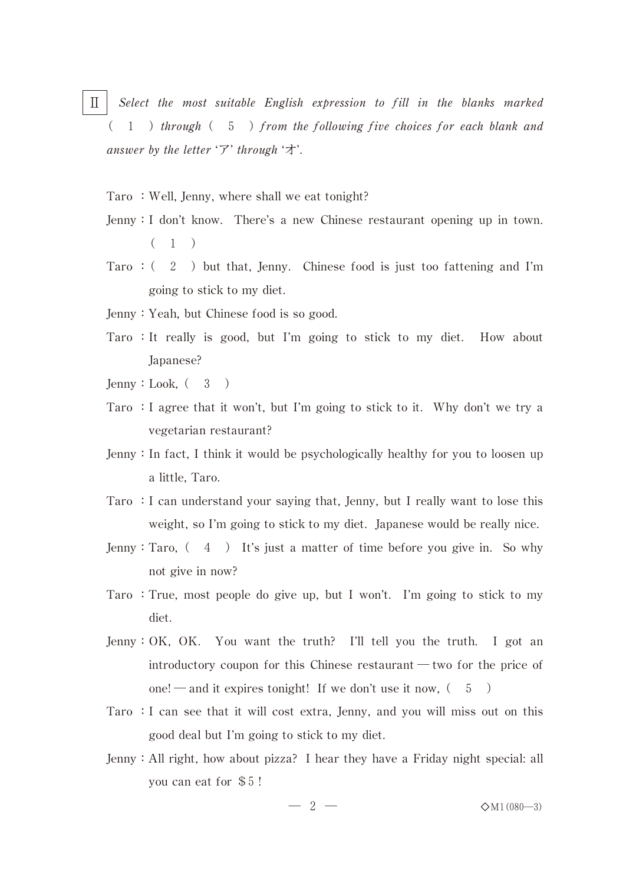- Ⅱ *Select the most suitable English expression to fill in the blanks marked* ( - )*through*( )*from the following five choices for each blank and answer by the letter* 'ア' *through* 'オ'.
	- Taro: Well, Jenny, where shall we eat tonight?
	- Jenny:I don't know. There's a new Chinese restaurant opening up in town.  $(1)$
	- Taro :  $(2)$  but that, Jenny. Chinese food is just too fattening and I'm going to stick to my diet.
	- Jenny:Yeah, but Chinese food is so good.
	- Taro :It really is good, but I'm going to stick to my diet. How about Japanese?
	- Jenny: Look,  $(3)$
	- Taro :I agree that it won't, but I'm going to stick to it. Why don't we try a vegetarian restaurant?
	- Jenny:In fact, I think it would be psychologically healthy for you to loosen up a little, Taro.
	- Taro :I can understand your saying that, Jenny, but I really want to lose this weight, so I'm going to stick to my diet. Japanese would be really nice.
	- Jenny: Taro,  $(4)$  It's just a matter of time before you give in. So why not give in now?
	- Taro :True, most people do give up, but I won't. I'm going to stick to my diet.
	- Jenny:OK, OK. You want the truth? I'll tell you the truth. I got an introductory coupon for this Chinese restaurant ― two for the price of one! — and it expires tonight! If we don't use it now,  $(5)$
	- Taro :I can see that it will cost extra, Jenny, and you will miss out on this good deal but I'm going to stick to my diet.
	- Jenny:All right, how about pizza? I hear they have a Friday night special: all you can eat for \$5 !

 $- 2 - 3$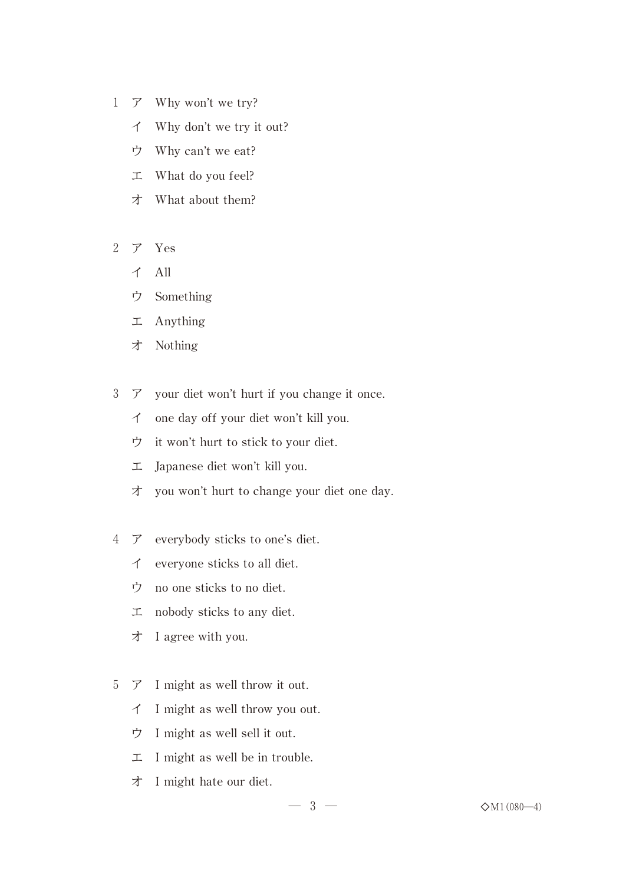- 1 ア Why won't we try?
	- イ Why don't we try it out?
	- ウ Why can't we eat?
	- エ What do you feel?
	- オ What about them?
- 2 ア Yes
	- イ All
	- ウ Something
	- エ Anything
	- オ Nothing
- 3 ア your diet won't hurt if you change it once.
	- イ one day off your diet won't kill you.
	- ウ it won't hurt to stick to your diet.
	- エ Japanese diet won't kill you.
	- オ you won't hurt to change your diet one day.
- 4 ア everybody sticks to one's diet.
	- イ everyone sticks to all diet.
	- ウ no one sticks to no diet.
	- エ nobody sticks to any diet.
	- オ I agree with you.
- 5 ア I might as well throw it out.
	- イ I might as well throw you out.
	- ウ I might as well sell it out.
	- エ I might as well be in trouble.
	- オ I might hate our diet.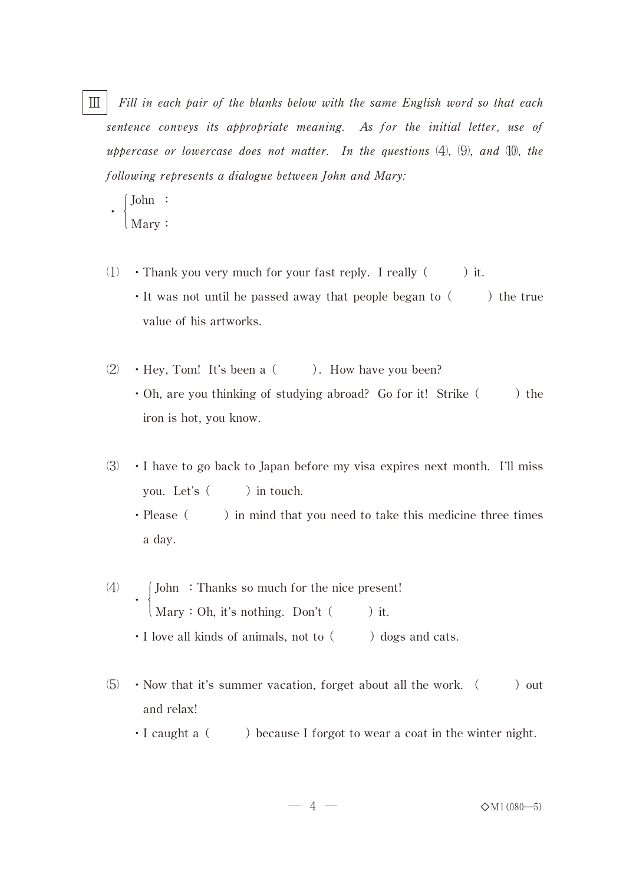Ⅲ *Fill in each pair of the blanks below with the same English word so that each sentence conveys its appropriate meaning. As for the initial letter, use of uppercase or lowercase does not matter. In the questions*  $(4)$ ,  $(9)$ , and  $(10)$ , the *following represents a dialogue between John and Mary:*

```
\left\{\right.\mathcal{L}John :
Mary:
```
 $\ddot{\phantom{0}}$ 

- $(1)$  Thank you very much for your fast reply. I really  $($ ) it.  $\cdot$  It was not until he passed away that people began to ( ) the true value of his artworks.
- $(2) \rightarrow$  Hey, Tom! It's been a  $($ ). How have you been?  $\cdot$  Oh, are you thinking of studying abroad? Go for it! Strike () the iron is hot, you know.
- $(3) \cdot I$  have to go back to Japan before my visa expires next month. I'll miss you. Let's  $($  ) in touch.
	- $\cdot$  Please ( ) in mind that you need to take this medicine three times a day.
- $(4)$  $\left\{ \cdot \right\}$  $\mathcal{L}$ John :Thanks so much for the nice present!  $Mary: Oh, it's nothing. Don't ( ) it.$  $\cdot$  I love all kinds of animals, not to  $($   $)$  dogs and cats.
- $\langle 5 \rangle$  Now that it's summer vacation, forget about all the work.  $($ ) out and relax!
	- $\cdot$  I caught a  $($  ) because I forgot to wear a coat in the winter night.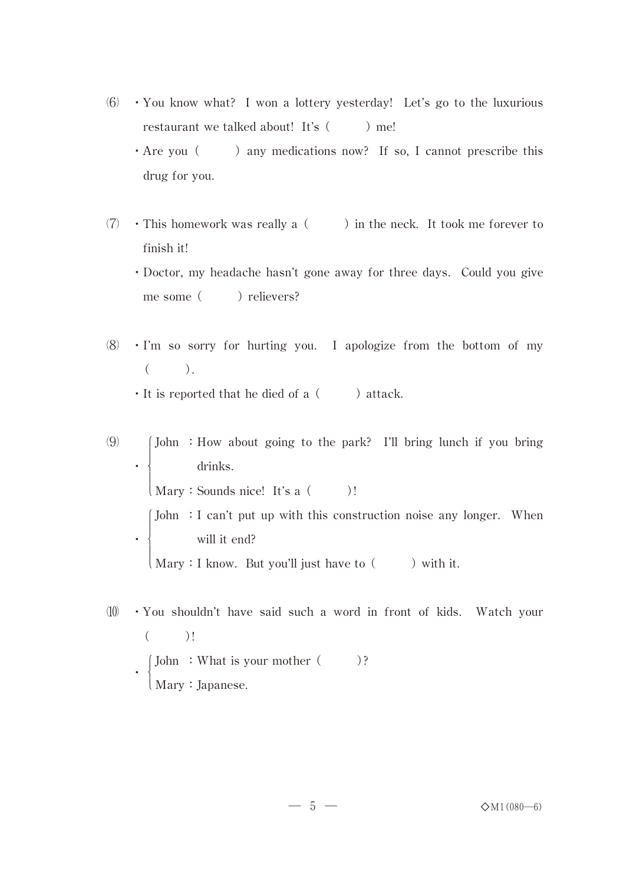- $(6)$  You know what? I won a lottery yesterday! Let's go to the luxurious restaurant we talked about! It's  $($   $)$  me!
	- $\cdot$  Are you ( ) any medications now? If so, I cannot prescribe this drug for you.
- $(7)$  This homework was really a  $($ ) in the neck. It took me forever to finish it!

・Doctor, my headache hasn't gone away for three days. Could you give me some ( ) relievers?

- $(8)$  · I'm so sorry for hurting you. I apologize from the bottom of my  $($ ).
	- $\cdot$  It is reported that he died of a  $($  ) attack.

 $(9)$  $\ddot{\phantom{0}}$ - John :How about going to the park? I'll bring lunch if you bring  $\perp$  $\left\{ \right.$  $\perp$  Mary:Sounds nice! It's a( )! drinks.  $\ddot{\phantom{0}}$ -John :I can't put up with this construction noise any longer. When  $\perp$  $\left\{ \right.$  $\perp$  $\Box$  Mary: I know. But you'll just have to  $\Box$  ) with it. will it end?

 $(10)$  • You shouldn't have said such a word in front of kids. Watch your  $($  )!  $\ddot{\phantom{0}}$  $\lceil$ .  $\left\{ \right.$  Mary:Japanese. John :What is your mother( )?

 $-5 \Diamond M1(080-6)$